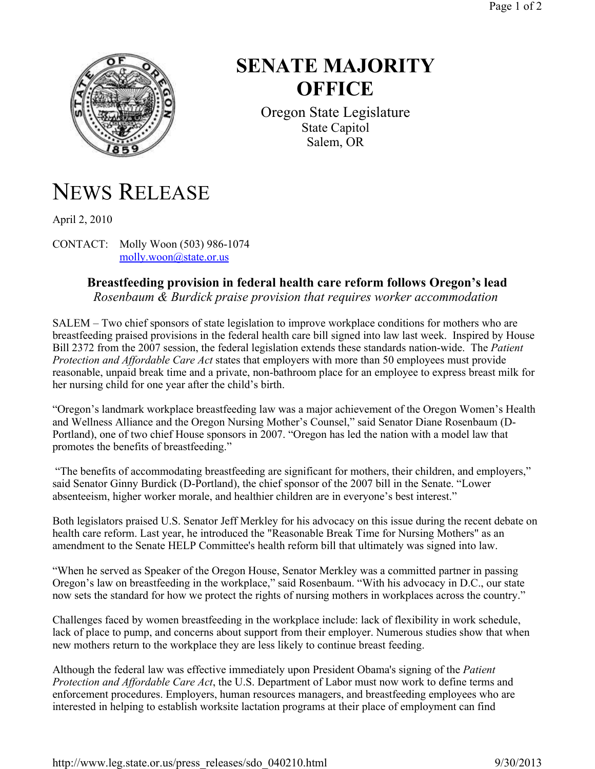

## **SENATE MAJORITY OFFICE**

Oregon State Legislature State Capitol Salem, OR

## NEWS RELEASE

April 2, 2010

CONTACT: Molly Woon (503) 986-1074 molly.woon@state.or.us

## **Breastfeeding provision in federal health care reform follows Oregon's lead**

*Rosenbaum & Burdick praise provision that requires worker accommodation*

SALEM – Two chief sponsors of state legislation to improve workplace conditions for mothers who are breastfeeding praised provisions in the federal health care bill signed into law last week. Inspired by House Bill 2372 from the 2007 session, the federal legislation extends these standards nation-wide. The *Patient Protection and Affordable Care Act* states that employers with more than 50 employees must provide reasonable, unpaid break time and a private, non-bathroom place for an employee to express breast milk for her nursing child for one year after the child's birth.

"Oregon's landmark workplace breastfeeding law was a major achievement of the Oregon Women's Health and Wellness Alliance and the Oregon Nursing Mother's Counsel," said Senator Diane Rosenbaum (D-Portland), one of two chief House sponsors in 2007. "Oregon has led the nation with a model law that promotes the benefits of breastfeeding."

"The benefits of accommodating breastfeeding are significant for mothers, their children, and employers," said Senator Ginny Burdick (D-Portland), the chief sponsor of the 2007 bill in the Senate. "Lower absenteeism, higher worker morale, and healthier children are in everyone's best interest."

Both legislators praised U.S. Senator Jeff Merkley for his advocacy on this issue during the recent debate on health care reform. Last year, he introduced the "Reasonable Break Time for Nursing Mothers" as an amendment to the Senate HELP Committee's health reform bill that ultimately was signed into law.

"When he served as Speaker of the Oregon House, Senator Merkley was a committed partner in passing Oregon's law on breastfeeding in the workplace," said Rosenbaum. "With his advocacy in D.C., our state now sets the standard for how we protect the rights of nursing mothers in workplaces across the country."

Challenges faced by women breastfeeding in the workplace include: lack of flexibility in work schedule, lack of place to pump, and concerns about support from their employer. Numerous studies show that when new mothers return to the workplace they are less likely to continue breast feeding.

Although the federal law was effective immediately upon President Obama's signing of the *Patient Protection and Affordable Care Act*, the U.S. Department of Labor must now work to define terms and enforcement procedures. Employers, human resources managers, and breastfeeding employees who are interested in helping to establish worksite lactation programs at their place of employment can find